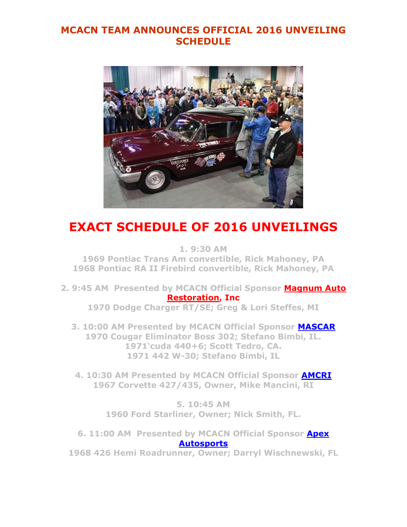## **MCACN TEAM ANNOUNCES OFFICIAL 2016 UNVEILING SCHEDULE**



## **EXACT SCHEDULE OF 2016 UNVEILINGS**

**1. 9:30 AM**

**1969 Pontiac Trans Am convertible, Rick Mahoney, PA 1968 Pontiac RA II Firebird convertible, Rick Mahoney, PA**

**2. 9:45 AM Presented by MCACN Official Sponsor [Magnum Auto](http://www.magnumautoresto.com/)  [Restoration,](http://www.magnumautoresto.com/) Inc**

**1970 Dodge Charger RT/SE; Greg & Lori Steffes, MI**

**3. 10:00 AM Presented by MCACN Official Sponsor [MASCAR](http://www.mascarauto.com/) 1970 Cougar Eliminator Boss 302; Stefano Bimbi, IL. 1971'cuda 440+6; Scott Tedro, CA. 1971 442 W-30; Stefano Bimbi, IL**

**4. 10:30 AM Presented by MCACN Official Sponsor [AMCRI](http://www.amcri1.com/) 1967 Corvette 427/435, Owner, Mike Mancini, RI**

> **5. 10:45 AM 1960 Ford Starliner, Owner; Nick Smith, FL.**

**6. 11:00 AM Presented by MCACN Official Sponsor [Apex](http://www.apexautosports.com/)  [Autosports](http://www.apexautosports.com/)**

**1968 426 Hemi Roadrunner, Owner; Darryl Wischnewski, FL**